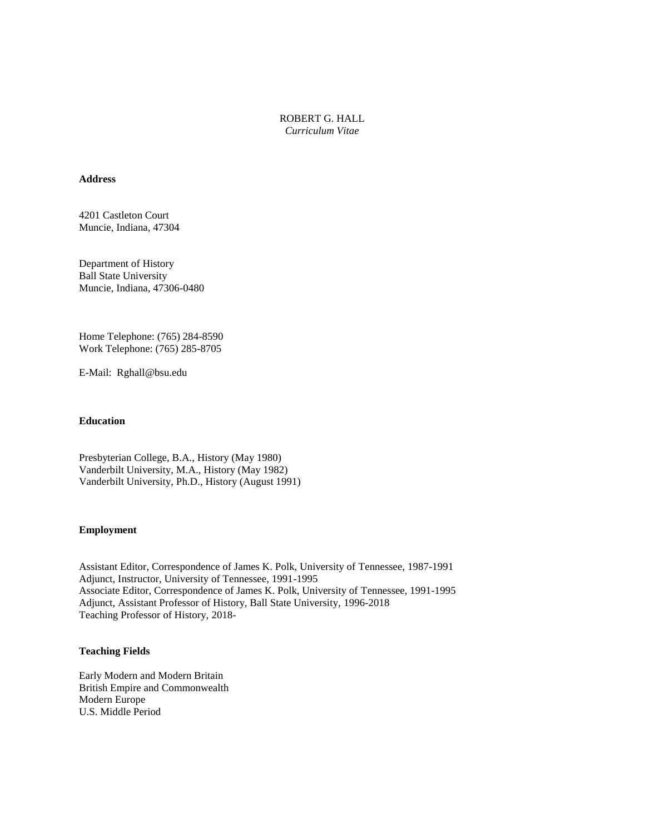ROBERT G. HALL *Curriculum Vitae*

## **Address**

4201 Castleton Court Muncie, Indiana, 47304

Department of History Ball State University Muncie, Indiana, 47306-0480

Home Telephone: (765) 284-8590 Work Telephone: (765) 285-8705

E-Mail: Rghall@bsu.edu

#### **Education**

Presbyterian College, B.A., History (May 1980) Vanderbilt University, M.A., History (May 1982) Vanderbilt University, Ph.D., History (August 1991)

#### **Employment**

Assistant Editor, Correspondence of James K. Polk, University of Tennessee, 1987-1991 Adjunct, Instructor, University of Tennessee, 1991-1995 Associate Editor, Correspondence of James K. Polk, University of Tennessee, 1991-1995 Adjunct, Assistant Professor of History, Ball State University, 1996-2018 Teaching Professor of History, 2018-

# **Teaching Fields**

Early Modern and Modern Britain British Empire and Commonwealth Modern Europe U.S. Middle Period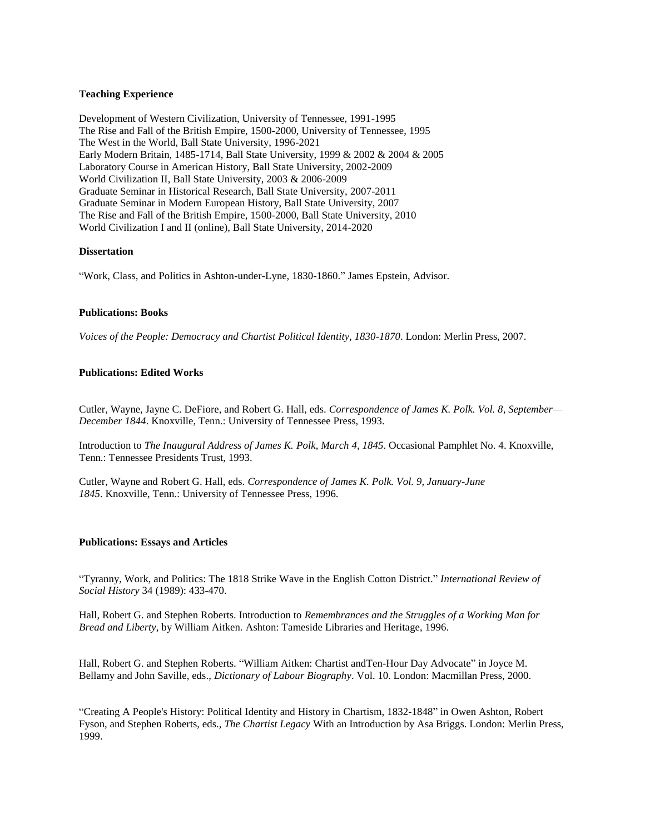## **Teaching Experience**

Development of Western Civilization, University of Tennessee, 1991-1995 The Rise and Fall of the British Empire, 1500-2000, University of Tennessee, 1995 The West in the World, Ball State University, 1996-2021 Early Modern Britain, 1485-1714, Ball State University, 1999 & 2002 & 2004 & 2005 Laboratory Course in American History, Ball State University, 2002-2009 World Civilization II, Ball State University, 2003 & 2006-2009 Graduate Seminar in Historical Research, Ball State University, 2007-2011 Graduate Seminar in Modern European History, Ball State University, 2007 The Rise and Fall of the British Empire, 1500-2000, Ball State University, 2010 World Civilization I and II (online), Ball State University, 2014-2020

## **Dissertation**

"Work, Class, and Politics in Ashton-under-Lyne, 1830-1860." James Epstein, Advisor.

## **Publications: Books**

*Voices of the People: Democracy and Chartist Political Identity, 1830-1870*. London: Merlin Press, 2007.

# **Publications: Edited Works**

Cutler, Wayne, Jayne C. DeFiore, and Robert G. Hall, eds. *Correspondence of James K. Polk. Vol. 8, September— December 1844*. Knoxville, Tenn.: University of Tennessee Press, 1993.

Introduction to *The Inaugural Address of James K. Polk, March 4, 1845*. Occasional Pamphlet No. 4. Knoxville, Tenn.: Tennessee Presidents Trust, 1993.

Cutler, Wayne and Robert G. Hall, eds. *Correspondence of James K. Polk. Vol. 9, January-June 1845.* Knoxville, Tenn.: University of Tennessee Press, 1996.

### **Publications: Essays and Articles**

"Tyranny, Work, and Politics: The 1818 Strike Wave in the English Cotton District." *International Review of Social History* 34 (1989): 433-470.

Hall, Robert G. and Stephen Roberts. Introduction to *Remembrances and the Struggles of a Working Man for Bread and Liberty,* by William Aitken. Ashton: Tameside Libraries and Heritage, 1996.

Hall, Robert G. and Stephen Roberts. "William Aitken: Chartist andTen-Hour Day Advocate" in Joyce M. Bellamy and John Saville, eds., *Dictionary of Labour Biography*. Vol. 10. London: Macmillan Press, 2000.

"Creating A People's History: Political Identity and History in Chartism, 1832-1848" in Owen Ashton, Robert Fyson, and Stephen Roberts, eds., *The Chartist Legacy* With an Introduction by Asa Briggs. London: Merlin Press, 1999.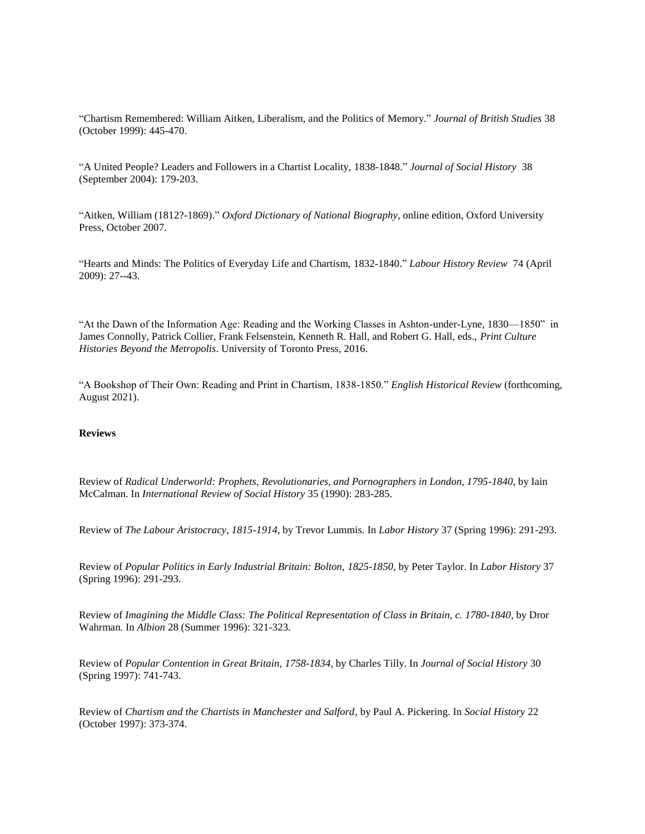"Chartism Remembered: William Aitken, Liberalism, and the Politics of Memory." *Journal of British Studies* 38 (October 1999): 445-470.

"A United People? Leaders and Followers in a Chartist Locality, 1838-1848." *Journal of Social History* 38 (September 2004): 179-203.

"Aitken, William (1812?-1869)." *Oxford Dictionary of National Biography*, online edition, Oxford University Press, October 2007.

"Hearts and Minds: The Politics of Everyday Life and Chartism, 1832-1840." *Labour History Review* 74 (April 2009): 27--43.

"At the Dawn of the Information Age: Reading and the Working Classes in Ashton-under-Lyne, 1830—1850" in James Connolly, Patrick Collier, Frank Felsenstein, Kenneth R. Hall, and Robert G. Hall, eds., *Print Culture Histories Beyond the Metropolis*. University of Toronto Press, 2016.

"A Bookshop of Their Own: Reading and Print in Chartism, 1838-1850." *English Historical Review* (forthcoming, August 2021).

### **Reviews**

Review of *Radical Underworld: Prophets, Revolutionaries, and Pornographers in London, 1795-1840*, by Iain McCalman. In *International Review of Social History* 35 (1990): 283-285.

Review of *The Labour Aristocracy, 1815-1914*, by Trevor Lummis. In *Labor History* 37 (Spring 1996): 291-293.

Review of *Popular Politics in Early Industrial Britain: Bolton, 1825-1850*, by Peter Taylor. In *Labor History* 37 (Spring 1996): 291-293.

Review of *Imagining the Middle Class: The Political Representation of Class in Britain, c. 1780-1840*, by Dror Wahrman. In *Albion* 28 (Summer 1996): 321-323.

Review of *Popular Contention in Great Britain, 1758-1834*, by Charles Tilly. In *Journal of Social History* 30 (Spring 1997): 741-743.

Review of *Chartism and the Chartists in Manchester and Salford*, by Paul A. Pickering. In *Social History* 22 (October 1997): 373-374.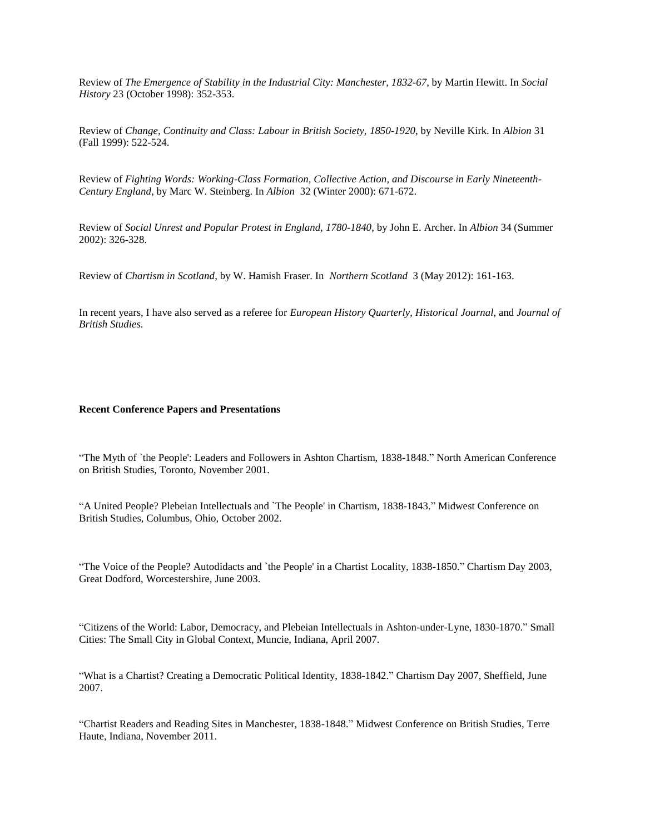Review of *The Emergence of Stability in the Industrial City: Manchester, 1832-67*, by Martin Hewitt. In *Social History* 23 (October 1998): 352-353.

Review of *Change, Continuity and Class: Labour in British Society, 1850-1920*, by Neville Kirk. In *Albion* 31 (Fall 1999): 522-524.

Review of *Fighting Words: Working-Class Formation, Collective Action, and Discourse in Early Nineteenth*-*Century England*, by Marc W. Steinberg. In *Albion* 32 (Winter 2000): 671-672.

Review of *Social Unrest and Popular Protest in England, 1780-1840*, by John E. Archer. In *Albion* 34 (Summer 2002): 326-328.

Review of *Chartism in Scotland*, by W. Hamish Fraser. In *Northern Scotland* 3 (May 2012): 161-163.

In recent years, I have also served as a referee for *European History Quarterly*, *Historical Journal*, and *Journal of British Studies*.

### **Recent Conference Papers and Presentations**

"The Myth of `the People': Leaders and Followers in Ashton Chartism, 1838-1848." North American Conference on British Studies, Toronto, November 2001.

"A United People? Plebeian Intellectuals and `The People' in Chartism, 1838-1843." Midwest Conference on British Studies, Columbus, Ohio, October 2002.

"The Voice of the People? Autodidacts and `the People' in a Chartist Locality, 1838-1850." Chartism Day 2003, Great Dodford, Worcestershire, June 2003.

"Citizens of the World: Labor, Democracy, and Plebeian Intellectuals in Ashton-under-Lyne, 1830-1870." Small Cities: The Small City in Global Context, Muncie, Indiana, April 2007.

"What is a Chartist? Creating a Democratic Political Identity, 1838-1842." Chartism Day 2007, Sheffield, June 2007.

"Chartist Readers and Reading Sites in Manchester, 1838-1848." Midwest Conference on British Studies, Terre Haute, Indiana, November 2011.